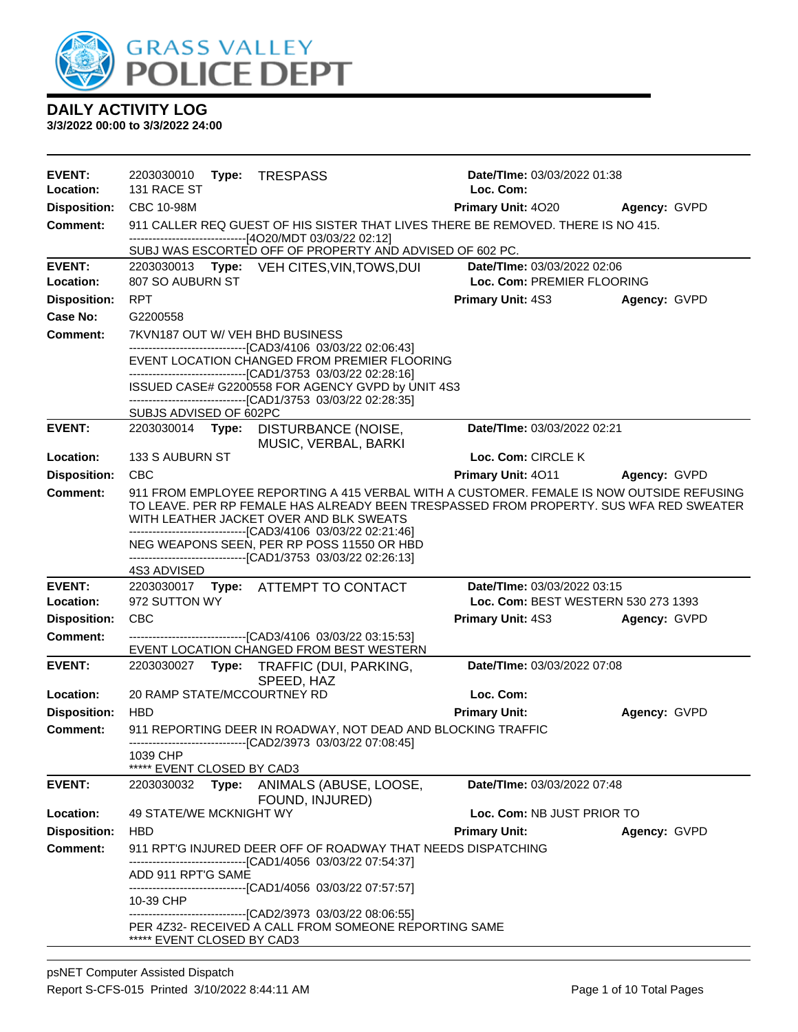

| <b>EVENT:</b>                          | 2203030010<br>Type:<br>TRESPASS                                                                                                                                                    | Date/TIme: 03/03/2022 01:38         |              |
|----------------------------------------|------------------------------------------------------------------------------------------------------------------------------------------------------------------------------------|-------------------------------------|--------------|
| Location:                              | 131 RACE ST                                                                                                                                                                        | Loc. Com:                           |              |
| <b>Disposition:</b><br><b>Comment:</b> | CBC 10-98M<br>911 CALLER REQ GUEST OF HIS SISTER THAT LIVES THERE BE REMOVED. THERE IS NO 415.                                                                                     | Primary Unit: 4020                  | Agency: GVPD |
|                                        | ------------------------------[4O20/MDT 03/03/22 02:12]                                                                                                                            |                                     |              |
|                                        | SUBJ WAS ESCORTED OFF OF PROPERTY AND ADVISED OF 602 PC.                                                                                                                           |                                     |              |
| <b>EVENT:</b>                          | 2203030013 Type: VEH CITES, VIN, TOWS, DUI                                                                                                                                         | Date/TIme: 03/03/2022 02:06         |              |
| Location:                              | 807 SO AUBURN ST                                                                                                                                                                   | Loc. Com: PREMIER FLOORING          |              |
| <b>Disposition:</b>                    | <b>RPT</b>                                                                                                                                                                         | <b>Primary Unit: 4S3</b>            | Agency: GVPD |
| Case No:                               | G2200558                                                                                                                                                                           |                                     |              |
| <b>Comment:</b>                        | 7KVN187 OUT W/ VEH BHD BUSINESS<br>-------------------------------[CAD3/4106 03/03/22 02:06:43]                                                                                    |                                     |              |
|                                        | EVENT LOCATION CHANGED FROM PREMIER FLOORING                                                                                                                                       |                                     |              |
|                                        | -------------------------------[CAD1/3753 03/03/22 02:28:16]<br>ISSUED CASE# G2200558 FOR AGENCY GVPD by UNIT 4S3<br>-------------------------------[CAD1/3753 03/03/22 02:28:35]  |                                     |              |
|                                        | SUBJS ADVISED OF 602PC                                                                                                                                                             |                                     |              |
| <b>EVENT:</b>                          | 2203030014 Type:<br>DISTURBANCE (NOISE,<br>MUSIC, VERBAL, BARKI                                                                                                                    | Date/TIme: 03/03/2022 02:21         |              |
| Location:                              | 133 S AUBURN ST                                                                                                                                                                    | Loc. Com: CIRCLE K                  |              |
| <b>Disposition:</b>                    | <b>CBC</b>                                                                                                                                                                         | Primary Unit: 4011                  | Agency: GVPD |
| <b>Comment:</b>                        | 911 FROM EMPLOYEE REPORTING A 415 VERBAL WITH A CUSTOMER. FEMALE IS NOW OUTSIDE REFUSING<br>TO LEAVE. PER RP FEMALE HAS ALREADY BEEN TRESPASSED FROM PROPERTY. SUS WFA RED SWEATER |                                     |              |
|                                        | WITH LEATHER JACKET OVER AND BLK SWEATS<br>-------------------------------[CAD3/4106 03/03/22 02:21:46]                                                                            |                                     |              |
|                                        | NEG WEAPONS SEEN, PER RP POSS 11550 OR HBD                                                                                                                                         |                                     |              |
|                                        | -------------------------------[CAD1/3753 03/03/22 02:26:13]<br>4S3 ADVISED                                                                                                        |                                     |              |
| <b>EVENT:</b>                          | 2203030017 Type: ATTEMPT TO CONTACT                                                                                                                                                | Date/TIme: 03/03/2022 03:15         |              |
| Location:                              | 972 SUTTON WY                                                                                                                                                                      | Loc. Com: BEST WESTERN 530 273 1393 |              |
| <b>Disposition:</b>                    | <b>CBC</b>                                                                                                                                                                         | <b>Primary Unit: 4S3</b>            | Agency: GVPD |
| <b>Comment:</b>                        | ---------------------------------[CAD3/4106_03/03/22_03:15:53]<br>EVENT LOCATION CHANGED FROM BEST WESTERN                                                                         |                                     |              |
| <b>EVENT:</b>                          | 2203030027<br>TRAFFIC (DUI, PARKING,<br>Type:<br>SPEED, HAZ                                                                                                                        | Date/TIme: 03/03/2022 07:08         |              |
| Location:                              | 20 RAMP STATE/MCCOURTNEY RD                                                                                                                                                        | Loc. Com:                           |              |
| <b>Disposition:</b>                    | <b>HBD</b>                                                                                                                                                                         | <b>Primary Unit:</b>                | Agency: GVPD |
| Comment:                               | 911 REPORTING DEER IN ROADWAY, NOT DEAD AND BLOCKING TRAFFIC<br>---------------------[CAD2/3973 03/03/22 07:08:45]                                                                 |                                     |              |
|                                        | 1039 CHP                                                                                                                                                                           |                                     |              |
| <b>EVENT:</b>                          | ***** EVENT CLOSED BY CAD3<br>2203030032<br>Type:<br>ANIMALS (ABUSE, LOOSE,                                                                                                        | Date/TIme: 03/03/2022 07:48         |              |
| Location:                              | FOUND, INJURED)<br>49 STATE/WE MCKNIGHT WY                                                                                                                                         | Loc. Com: NB JUST PRIOR TO          |              |
| <b>Disposition:</b>                    | <b>HBD</b>                                                                                                                                                                         | <b>Primary Unit:</b>                | Agency: GVPD |
| <b>Comment:</b>                        | 911 RPT'G INJURED DEER OFF OF ROADWAY THAT NEEDS DISPATCHING                                                                                                                       |                                     |              |
|                                        | -----------------------[CAD1/4056_03/03/22_07:54:37]                                                                                                                               |                                     |              |
|                                        | ADD 911 RPT'G SAME<br>-------------------------------[CAD1/4056 03/03/22 07:57:57]                                                                                                 |                                     |              |
|                                        | 10-39 CHP                                                                                                                                                                          |                                     |              |
|                                        | --------------------------------[CAD2/3973 03/03/22 08:06:55]<br>PER 4Z32- RECEIVED A CALL FROM SOMEONE REPORTING SAME<br>***** EVENT CLOSED BY CAD3                               |                                     |              |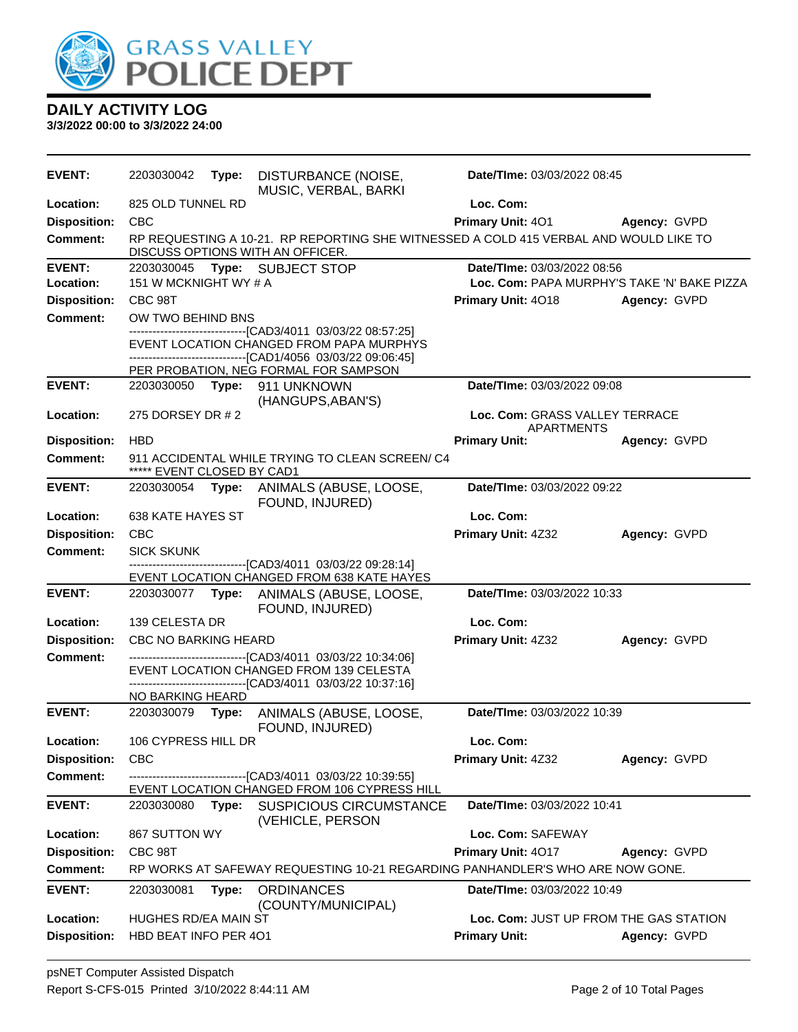

| <b>EVENT:</b>       | 2203030042                  | Type: | DISTURBANCE (NOISE,                                                                                                       | Date/TIme: 03/03/2022 08:45                         |              |
|---------------------|-----------------------------|-------|---------------------------------------------------------------------------------------------------------------------------|-----------------------------------------------------|--------------|
| Location:           | 825 OLD TUNNEL RD           |       | MUSIC, VERBAL, BARKI                                                                                                      | Loc. Com:                                           |              |
| <b>Disposition:</b> | <b>CBC</b>                  |       |                                                                                                                           | Primary Unit: 401                                   | Agency: GVPD |
| <b>Comment:</b>     |                             |       | RP REQUESTING A 10-21. RP REPORTING SHE WITNESSED A COLD 415 VERBAL AND WOULD LIKE TO<br>DISCUSS OPTIONS WITH AN OFFICER. |                                                     |              |
| <b>EVENT:</b>       | 2203030045                  |       | Type: SUBJECT STOP                                                                                                        | Date/TIme: 03/03/2022 08:56                         |              |
| Location:           | 151 W MCKNIGHT WY # A       |       |                                                                                                                           | Loc. Com: PAPA MURPHY'S TAKE 'N' BAKE PIZZA         |              |
| <b>Disposition:</b> | CBC 98T                     |       |                                                                                                                           | <b>Primary Unit: 4018</b>                           | Agency: GVPD |
| Comment:            | OW TWO BEHIND BNS           |       | -------------------------------[CAD3/4011 03/03/22 08:57:25]                                                              |                                                     |              |
|                     |                             |       | EVENT LOCATION CHANGED FROM PAPA MURPHYS<br>-----------------------[CAD1/4056 03/03/22 09:06:45]                          |                                                     |              |
|                     |                             |       | PER PROBATION, NEG FORMAL FOR SAMPSON                                                                                     |                                                     |              |
| <b>EVENT:</b>       | 2203030050                  | Type: | 911 UNKNOWN<br>(HANGUPS, ABAN'S)                                                                                          | Date/TIme: 03/03/2022 09:08                         |              |
| Location:           | 275 DORSEY DR # 2           |       |                                                                                                                           | Loc. Com: GRASS VALLEY TERRACE<br><b>APARTMENTS</b> |              |
| <b>Disposition:</b> | <b>HBD</b>                  |       |                                                                                                                           | <b>Primary Unit:</b>                                | Agency: GVPD |
| <b>Comment:</b>     | ***** EVENT CLOSED BY CAD1  |       | 911 ACCIDENTAL WHILE TRYING TO CLEAN SCREEN/C4                                                                            |                                                     |              |
| <b>EVENT:</b>       | 2203030054                  |       | Type: ANIMALS (ABUSE, LOOSE,<br>FOUND, INJURED)                                                                           | Date/TIme: 03/03/2022 09:22                         |              |
| Location:           | 638 KATE HAYES ST           |       |                                                                                                                           | Loc. Com:                                           |              |
| <b>Disposition:</b> | <b>CBC</b>                  |       |                                                                                                                           | Primary Unit: 4Z32                                  | Agency: GVPD |
| <b>Comment:</b>     | <b>SICK SKUNK</b>           |       |                                                                                                                           |                                                     |              |
|                     |                             |       | ------------------------[CAD3/4011_03/03/22_09:28:14]<br>EVENT LOCATION CHANGED FROM 638 KATE HAYES                       |                                                     |              |
| <b>EVENT:</b>       |                             |       | 2203030077 Type: ANIMALS (ABUSE, LOOSE,<br>FOUND, INJURED)                                                                | Date/TIme: 03/03/2022 10:33                         |              |
| Location:           | 139 CELESTA DR              |       |                                                                                                                           | Loc. Com:                                           |              |
| <b>Disposition:</b> | <b>CBC NO BARKING HEARD</b> |       |                                                                                                                           | Primary Unit: 4Z32                                  | Agency: GVPD |
| <b>Comment:</b>     |                             |       | --------------------------------[CAD3/4011 03/03/22 10:34:06]                                                             |                                                     |              |
|                     |                             |       | EVENT LOCATION CHANGED FROM 139 CELESTA<br>------------------------------[CAD3/4011 03/03/22 10:37:16]                    |                                                     |              |
|                     | NO BARKING HEARD            |       |                                                                                                                           |                                                     |              |
| <b>EVENT:</b>       | 2203030079                  | Type: | ANIMALS (ABUSE, LOOSE,<br>FOUND, INJURED)                                                                                 | Date/TIme: 03/03/2022 10:39                         |              |
| Location:           | 106 CYPRESS HILL DR         |       |                                                                                                                           | Loc. Com:                                           |              |
| <b>Disposition:</b> | <b>CBC</b>                  |       |                                                                                                                           | Primary Unit: 4Z32                                  | Agency: GVPD |
| <b>Comment:</b>     |                             |       | -----------------[CAD3/4011_03/03/22 10:39:55]<br>EVENT LOCATION CHANGED FROM 106 CYPRESS HILL                            |                                                     |              |
| <b>EVENT:</b>       | 2203030080                  | Type: | <b>SUSPICIOUS CIRCUMSTANCE</b><br>(VEHICLE, PERSON                                                                        | Date/TIme: 03/03/2022 10:41                         |              |
| Location:           | 867 SUTTON WY               |       |                                                                                                                           | Loc. Com: SAFEWAY                                   |              |
| <b>Disposition:</b> | CBC 98T                     |       |                                                                                                                           | Primary Unit: 4017                                  | Agency: GVPD |
| <b>Comment:</b>     |                             |       | RP WORKS AT SAFEWAY REQUESTING 10-21 REGARDING PANHANDLER'S WHO ARE NOW GONE.                                             |                                                     |              |
| <b>EVENT:</b>       | 2203030081                  | Type: | <b>ORDINANCES</b><br>(COUNTY/MUNICIPAL)                                                                                   | Date/TIme: 03/03/2022 10:49                         |              |
| Location:           | HUGHES RD/EA MAIN ST        |       |                                                                                                                           | Loc. Com: JUST UP FROM THE GAS STATION              |              |
| <b>Disposition:</b> | HBD BEAT INFO PER 401       |       |                                                                                                                           | <b>Primary Unit:</b>                                | Agency: GVPD |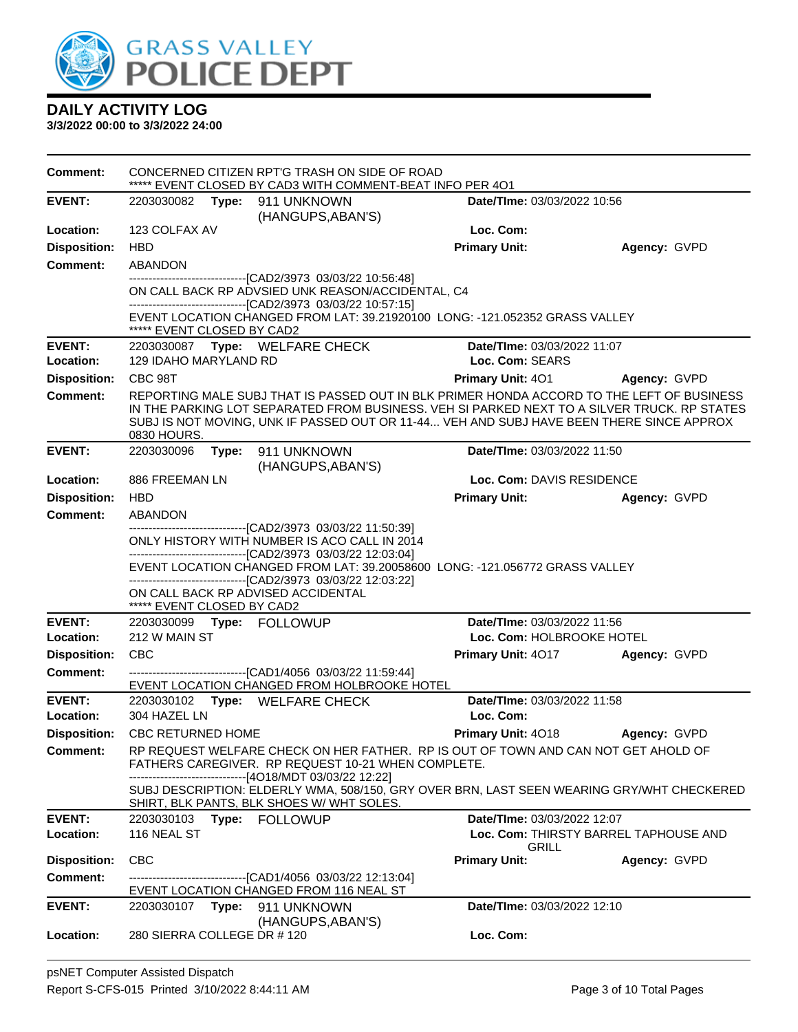

| <b>Comment:</b>     |                             | CONCERNED CITIZEN RPT'G TRASH ON SIDE OF ROAD<br>***** EVENT CLOSED BY CAD3 WITH COMMENT-BEAT INFO PER 401                                                                                                                                                                                        |                             |                                       |
|---------------------|-----------------------------|---------------------------------------------------------------------------------------------------------------------------------------------------------------------------------------------------------------------------------------------------------------------------------------------------|-----------------------------|---------------------------------------|
| <b>EVENT:</b>       | 2203030082<br>Type:         | 911 UNKNOWN<br>(HANGUPS, ABAN'S)                                                                                                                                                                                                                                                                  | Date/TIme: 03/03/2022 10:56 |                                       |
| Location:           | 123 COLFAX AV               |                                                                                                                                                                                                                                                                                                   | Loc. Com:                   |                                       |
| <b>Disposition:</b> | <b>HBD</b>                  |                                                                                                                                                                                                                                                                                                   | <b>Primary Unit:</b>        | Agency: GVPD                          |
| <b>Comment:</b>     | <b>ABANDON</b>              |                                                                                                                                                                                                                                                                                                   |                             |                                       |
|                     | ***** EVENT CLOSED BY CAD2  | -------------------------------[CAD2/3973 03/03/22 10:56:48]<br>ON CALL BACK RP ADVSIED UNK REASON/ACCIDENTAL, C4<br>--------------------------------[CAD2/3973 03/03/22 10:57:15]<br>EVENT LOCATION CHANGED FROM LAT: 39.21920100 LONG: -121.052352 GRASS VALLEY                                 |                             |                                       |
| <b>EVENT:</b>       |                             | 2203030087 Type: WELFARE CHECK                                                                                                                                                                                                                                                                    | Date/TIme: 03/03/2022 11:07 |                                       |
| Location:           | 129 IDAHO MARYLAND RD       |                                                                                                                                                                                                                                                                                                   | Loc. Com: SEARS             |                                       |
| <b>Disposition:</b> | CBC 98T                     |                                                                                                                                                                                                                                                                                                   | <b>Primary Unit: 401</b>    | Agency: GVPD                          |
| <b>Comment:</b>     | 0830 HOURS.                 | REPORTING MALE SUBJ THAT IS PASSED OUT IN BLK PRIMER HONDA ACCORD TO THE LEFT OF BUSINESS<br>IN THE PARKING LOT SEPARATED FROM BUSINESS. VEH SI PARKED NEXT TO A SILVER TRUCK. RP STATES<br>SUBJ IS NOT MOVING, UNK IF PASSED OUT OR 11-44 VEH AND SUBJ HAVE BEEN THERE SINCE APPROX              |                             |                                       |
| <b>EVENT:</b>       | 2203030096 Type:            | 911 UNKNOWN<br>(HANGUPS, ABAN'S)                                                                                                                                                                                                                                                                  | Date/TIme: 03/03/2022 11:50 |                                       |
| Location:           | 886 FREEMAN LN              |                                                                                                                                                                                                                                                                                                   | Loc. Com: DAVIS RESIDENCE   |                                       |
| <b>Disposition:</b> | <b>HBD</b>                  |                                                                                                                                                                                                                                                                                                   | <b>Primary Unit:</b>        | Agency: GVPD                          |
| <b>Comment:</b>     | ABANDON                     | --------------------------[CAD2/3973_03/03/22_11:50:39]                                                                                                                                                                                                                                           |                             |                                       |
|                     | ***** EVENT CLOSED BY CAD2  | ONLY HISTORY WITH NUMBER IS ACO CALL IN 2014<br>-------------------------------[CAD2/3973 03/03/22 12:03:04]<br>EVENT LOCATION CHANGED FROM LAT: 39.20058600 LONG: -121.056772 GRASS VALLEY<br>-------------------------------[CAD2/3973 03/03/22 12:03:22]<br>ON CALL BACK RP ADVISED ACCIDENTAL |                             |                                       |
| <b>EVENT:</b>       |                             |                                                                                                                                                                                                                                                                                                   | Date/TIme: 03/03/2022 11:56 |                                       |
| Location:           | 212 W MAIN ST               |                                                                                                                                                                                                                                                                                                   | Loc. Com: HOLBROOKE HOTEL   |                                       |
| <b>Disposition:</b> | <b>CBC</b>                  |                                                                                                                                                                                                                                                                                                   | <b>Primary Unit: 4017</b>   | Agency: GVPD                          |
| <b>Comment:</b>     |                             | -------------------------------[CAD1/4056 03/03/22 11:59:44]<br>EVENT LOCATION CHANGED FROM HOLBROOKE HOTEL                                                                                                                                                                                       |                             |                                       |
| <b>EVENT:</b>       |                             | 2203030102 Type: WELFARE CHECK                                                                                                                                                                                                                                                                    | Date/TIme: 03/03/2022 11:58 |                                       |
| Location:           | 304 HAZEL LN                |                                                                                                                                                                                                                                                                                                   | Loc. Com:                   |                                       |
| <b>Disposition:</b> | <b>CBC RETURNED HOME</b>    |                                                                                                                                                                                                                                                                                                   | <b>Primary Unit: 4018</b>   | Agency: GVPD                          |
| <b>Comment:</b>     |                             | RP REQUEST WELFARE CHECK ON HER FATHER. RP IS OUT OF TOWN AND CAN NOT GET AHOLD OF<br>FATHERS CAREGIVER. RP REQUEST 10-21 WHEN COMPLETE.<br>-------------------------------[4O18/MDT 03/03/22 12:22]<br>SUBJ DESCRIPTION: ELDERLY WMA, 508/150, GRY OVER BRN, LAST SEEN WEARING GRY/WHT CHECKERED |                             |                                       |
| <b>EVENT:</b>       | 2203030103 Type: FOLLOWUP   | SHIRT, BLK PANTS, BLK SHOES W/ WHT SOLES.                                                                                                                                                                                                                                                         | Date/TIme: 03/03/2022 12:07 |                                       |
| Location:           | 116 NEAL ST                 |                                                                                                                                                                                                                                                                                                   | <b>GRILL</b>                | Loc. Com: THIRSTY BARREL TAPHOUSE AND |
| <b>Disposition:</b> | <b>CBC</b>                  |                                                                                                                                                                                                                                                                                                   | <b>Primary Unit:</b>        | Agency: GVPD                          |
| <b>Comment:</b>     |                             | --------------------------[CAD1/4056_03/03/22 12:13:04]<br>EVENT LOCATION CHANGED FROM 116 NEAL ST                                                                                                                                                                                                |                             |                                       |
| <b>EVENT:</b>       | 2203030107                  | Type: 911 UNKNOWN                                                                                                                                                                                                                                                                                 | Date/TIme: 03/03/2022 12:10 |                                       |
| Location:           | 280 SIERRA COLLEGE DR # 120 | (HANGUPS, ABAN'S)                                                                                                                                                                                                                                                                                 | Loc. Com:                   |                                       |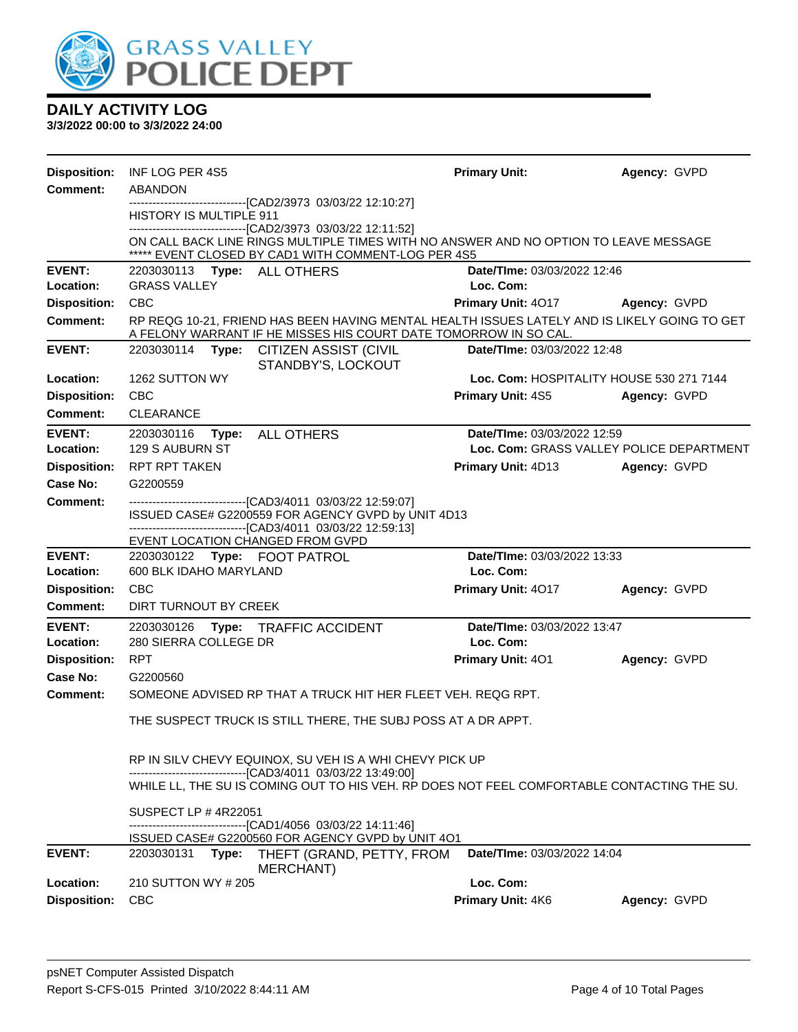

| <b>Disposition:</b>             | INF LOG PER 4S5                                                  |                                                                                                                                                                  | <b>Primary Unit:</b>                     | Agency: GVPD |
|---------------------------------|------------------------------------------------------------------|------------------------------------------------------------------------------------------------------------------------------------------------------------------|------------------------------------------|--------------|
| <b>Comment:</b>                 | ABANDON                                                          |                                                                                                                                                                  |                                          |              |
|                                 | HISTORY IS MULTIPLE 911                                          | --------------------------------[CAD2/3973 03/03/22 12:10:27]                                                                                                    |                                          |              |
|                                 |                                                                  | -------------------------------[CAD2/3973_03/03/22 12:11:52]                                                                                                     |                                          |              |
|                                 |                                                                  | ON CALL BACK LINE RINGS MULTIPLE TIMES WITH NO ANSWER AND NO OPTION TO LEAVE MESSAGE<br>***** EVENT CLOSED BY CAD1 WITH COMMENT-LOG PER 4S5                      |                                          |              |
| <b>EVENT:</b>                   | 2203030113 Type: ALL OTHERS                                      |                                                                                                                                                                  | Date/TIme: 03/03/2022 12:46              |              |
| Location:                       | <b>GRASS VALLEY</b>                                              |                                                                                                                                                                  | Loc. Com:                                |              |
| <b>Disposition:</b>             | <b>CBC</b>                                                       |                                                                                                                                                                  | <b>Primary Unit: 4017</b>                | Agency: GVPD |
| <b>Comment:</b>                 |                                                                  | RP REQG 10-21, FRIEND HAS BEEN HAVING MENTAL HEALTH ISSUES LATELY AND IS LIKELY GOING TO GET<br>A FELONY WARRANT IF HE MISSES HIS COURT DATE TOMORROW IN SO CAL. |                                          |              |
| <b>EVENT:</b>                   | 2203030114<br>Type:                                              | CITIZEN ASSIST (CIVIL<br>STANDBY'S, LOCKOUT                                                                                                                      | Date/TIme: 03/03/2022 12:48              |              |
| Location:                       | 1262 SUTTON WY                                                   |                                                                                                                                                                  | Loc. Com: HOSPITALITY HOUSE 530 271 7144 |              |
| <b>Disposition:</b>             | <b>CBC</b>                                                       |                                                                                                                                                                  | <b>Primary Unit: 4S5</b>                 | Agency: GVPD |
| <b>Comment:</b>                 | <b>CLEARANCE</b>                                                 |                                                                                                                                                                  |                                          |              |
| <b>EVENT:</b>                   | 2203030116                                                       | Type: ALL OTHERS                                                                                                                                                 | Date/TIme: 03/03/2022 12:59              |              |
| Location:                       | 129 S AUBURN ST                                                  |                                                                                                                                                                  | Loc. Com: GRASS VALLEY POLICE DEPARTMENT |              |
| <b>Disposition:</b><br>Case No: | <b>RPT RPT TAKEN</b>                                             |                                                                                                                                                                  | Primary Unit: 4D13                       | Agency: GVPD |
| <b>Comment:</b>                 | G2200559                                                         | -------------------------------[CAD3/4011 03/03/22 12:59:07]                                                                                                     |                                          |              |
|                                 |                                                                  | ISSUED CASE# G2200559 FOR AGENCY GVPD by UNIT 4D13                                                                                                               |                                          |              |
|                                 |                                                                  | -------------------------------[CAD3/4011 03/03/22 12:59:13]                                                                                                     |                                          |              |
| <b>EVENT:</b>                   | EVENT LOCATION CHANGED FROM GVPD<br>2203030122 Type: FOOT PATROL |                                                                                                                                                                  | Date/TIme: 03/03/2022 13:33              |              |
| Location:                       | 600 BLK IDAHO MARYLAND                                           |                                                                                                                                                                  | Loc. Com:                                |              |
| <b>Disposition:</b>             | <b>CBC</b>                                                       |                                                                                                                                                                  | Primary Unit: 4017                       | Agency: GVPD |
| <b>Comment:</b>                 | DIRT TURNOUT BY CREEK                                            |                                                                                                                                                                  |                                          |              |
| <b>EVENT:</b>                   | 2203030126                                                       | Type: TRAFFIC ACCIDENT                                                                                                                                           | Date/TIme: 03/03/2022 13:47              |              |
| Location:                       | 280 SIERRA COLLEGE DR                                            |                                                                                                                                                                  | Loc. Com:                                |              |
| <b>Disposition:</b>             | <b>RPT</b>                                                       |                                                                                                                                                                  | <b>Primary Unit: 401</b>                 | Agency: GVPD |
| Case No:                        | G2200560                                                         |                                                                                                                                                                  |                                          |              |
| Comment:                        |                                                                  | SOMEONE ADVISED RP THAT A TRUCK HIT HER FLEET VEH. REQG RPT.                                                                                                     |                                          |              |
|                                 |                                                                  | THE SUSPECT TRUCK IS STILL THERE, THE SUBJ POSS AT A DR APPT.                                                                                                    |                                          |              |
|                                 |                                                                  | RP IN SILV CHEVY EQUINOX, SU VEH IS A WHI CHEVY PICK UP                                                                                                          |                                          |              |
|                                 |                                                                  | -------------------------------[CAD3/4011 03/03/22 13:49:00]                                                                                                     |                                          |              |
|                                 |                                                                  | WHILE LL, THE SU IS COMING OUT TO HIS VEH. RP DOES NOT FEEL COMFORTABLE CONTACTING THE SU.                                                                       |                                          |              |
|                                 | SUSPECT LP #4R22051                                              | -------------------------------[CAD1/4056 03/03/22 14:11:46]                                                                                                     |                                          |              |
|                                 |                                                                  | ISSUED CASE# G2200560 FOR AGENCY GVPD by UNIT 4O1                                                                                                                |                                          |              |
| <b>EVENT:</b>                   |                                                                  | 2203030131 Type: THEFT (GRAND, PETTY, FROM<br>MERCHANT)                                                                                                          | Date/TIme: 03/03/2022 14:04              |              |
| Location:                       | 210 SUTTON WY # 205                                              |                                                                                                                                                                  | Loc. Com:                                |              |
| <b>Disposition:</b>             | <b>CBC</b>                                                       |                                                                                                                                                                  | Primary Unit: 4K6                        | Agency: GVPD |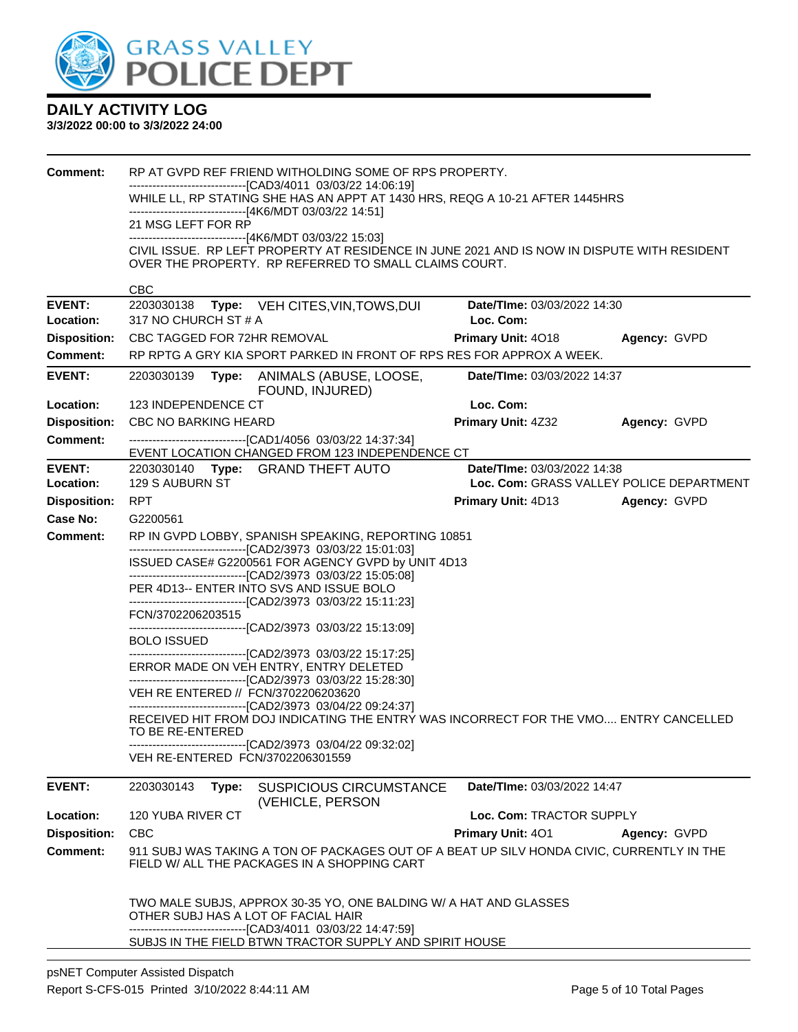

| <b>Comment:</b>     |                                                    | RP AT GVPD REF FRIEND WITHOLDING SOME OF RPS PROPERTY.                                                                                                   |                                          |              |  |
|---------------------|----------------------------------------------------|----------------------------------------------------------------------------------------------------------------------------------------------------------|------------------------------------------|--------------|--|
|                     |                                                    | --------------------------------[CAD3/4011 03/03/22 14:06:19]<br>WHILE LL, RP STATING SHE HAS AN APPT AT 1430 HRS, REQG A 10-21 AFTER 1445HRS            |                                          |              |  |
|                     |                                                    | ------------------------------[4K6/MDT 03/03/22 14:51]                                                                                                   |                                          |              |  |
|                     | 21 MSG LEFT FOR RP                                 |                                                                                                                                                          |                                          |              |  |
|                     |                                                    | ---------------------------------[4K6/MDT 03/03/22 15:03]<br>CIVIL ISSUE. RP LEFT PROPERTY AT RESIDENCE IN JUNE 2021 AND IS NOW IN DISPUTE WITH RESIDENT |                                          |              |  |
|                     |                                                    | OVER THE PROPERTY. RP REFERRED TO SMALL CLAIMS COURT.                                                                                                    |                                          |              |  |
|                     |                                                    |                                                                                                                                                          |                                          |              |  |
| <b>EVENT:</b>       | <b>CBC</b><br>2203030138                           |                                                                                                                                                          | Date/TIme: 03/03/2022 14:30              |              |  |
| Location:           | 317 NO CHURCH ST # A                               | Type: VEH CITES, VIN, TOWS, DUI                                                                                                                          | Loc. Com:                                |              |  |
| <b>Disposition:</b> | CBC TAGGED FOR 72HR REMOVAL                        |                                                                                                                                                          | Primary Unit: 4018                       | Agency: GVPD |  |
| <b>Comment:</b>     |                                                    | RP RPTG A GRY KIA SPORT PARKED IN FRONT OF RPS RES FOR APPROX A WEEK.                                                                                    |                                          |              |  |
| <b>EVENT:</b>       | 2203030139<br>Type:                                | ANIMALS (ABUSE, LOOSE,                                                                                                                                   | Date/TIme: 03/03/2022 14:37              |              |  |
| Location:           | 123 INDEPENDENCE CT                                | FOUND, INJURED)                                                                                                                                          | Loc. Com:                                |              |  |
| <b>Disposition:</b> | CBC NO BARKING HEARD                               |                                                                                                                                                          | Primary Unit: 4Z32                       | Agency: GVPD |  |
| <b>Comment:</b>     |                                                    | -------------------------------[CAD1/4056 03/03/22 14:37:34]                                                                                             |                                          |              |  |
|                     |                                                    | EVENT LOCATION CHANGED FROM 123 INDEPENDENCE CT                                                                                                          |                                          |              |  |
| <b>EVENT:</b>       |                                                    | 2203030140 Type: GRAND THEFT AUTO                                                                                                                        | Date/TIme: 03/03/2022 14:38              |              |  |
| Location:           | 129 S AUBURN ST                                    |                                                                                                                                                          | Loc. Com: GRASS VALLEY POLICE DEPARTMENT |              |  |
| <b>Disposition:</b> | <b>RPT</b>                                         |                                                                                                                                                          | Primary Unit: 4D13                       | Agency: GVPD |  |
| Case No:            | G2200561                                           |                                                                                                                                                          |                                          |              |  |
| <b>Comment:</b>     |                                                    | RP IN GVPD LOBBY, SPANISH SPEAKING, REPORTING 10851<br>---------------------------------[CAD2/3973 03/03/22 15:01:03]                                    |                                          |              |  |
|                     | ISSUED CASE# G2200561 FOR AGENCY GVPD by UNIT 4D13 |                                                                                                                                                          |                                          |              |  |
|                     |                                                    | --------------------------------[CAD2/3973 03/03/22 15:05:08]<br>PER 4D13-- ENTER INTO SVS AND ISSUE BOLO                                                |                                          |              |  |
|                     |                                                    | --------------------------------[CAD2/3973 03/03/22 15:11:23]                                                                                            |                                          |              |  |
|                     | FCN/3702206203515                                  |                                                                                                                                                          |                                          |              |  |
|                     | <b>BOLO ISSUED</b>                                 | --------------------------------[CAD2/3973 03/03/22 15:13:09]                                                                                            |                                          |              |  |
|                     |                                                    | --------------------------------[CAD2/3973 03/03/22 15:17:25]<br>ERROR MADE ON VEH ENTRY, ENTRY DELETED                                                  |                                          |              |  |
|                     | VEH RE ENTERED // FCN/3702206203620                | -------------------------------[CAD2/3973 03/03/22 15:28:30]                                                                                             |                                          |              |  |
|                     |                                                    | -------------------------------[CAD2/3973 03/04/22 09:24:37]                                                                                             |                                          |              |  |
|                     |                                                    | RECEIVED HIT FROM DOJ INDICATING THE ENTRY WAS INCORRECT FOR THE VMO ENTRY CANCELLED                                                                     |                                          |              |  |
|                     | TO BE RE-ENTERED                                   | --------------------------------[CAD2/3973 03/04/22 09:32:02]                                                                                            |                                          |              |  |
|                     | VEH RE-ENTERED FCN/3702206301559                   |                                                                                                                                                          |                                          |              |  |
| <b>EVENT:</b>       | 2203030143<br>Type:                                | <b>SUSPICIOUS CIRCUMSTANCE</b><br>(VEHICLE, PERSON                                                                                                       | Date/TIme: 03/03/2022 14:47              |              |  |
| Location:           | 120 YUBA RIVER CT                                  |                                                                                                                                                          | Loc. Com: TRACTOR SUPPLY                 |              |  |
| <b>Disposition:</b> | <b>CBC</b>                                         |                                                                                                                                                          | <b>Primary Unit: 401</b>                 | Agency: GVPD |  |
| <b>Comment:</b>     |                                                    | 911 SUBJ WAS TAKING A TON OF PACKAGES OUT OF A BEAT UP SILV HONDA CIVIC, CURRENTLY IN THE<br>FIELD W/ ALL THE PACKAGES IN A SHOPPING CART                |                                          |              |  |
|                     |                                                    | TWO MALE SUBJS, APPROX 30-35 YO, ONE BALDING W/ A HAT AND GLASSES                                                                                        |                                          |              |  |
|                     | OTHER SUBJ HAS A LOT OF FACIAL HAIR                |                                                                                                                                                          |                                          |              |  |
|                     |                                                    | --------------------------------[CAD3/4011 03/03/22 14:47:59]<br>SUBJS IN THE FIELD BTWN TRACTOR SUPPLY AND SPIRIT HOUSE                                 |                                          |              |  |
|                     |                                                    |                                                                                                                                                          |                                          |              |  |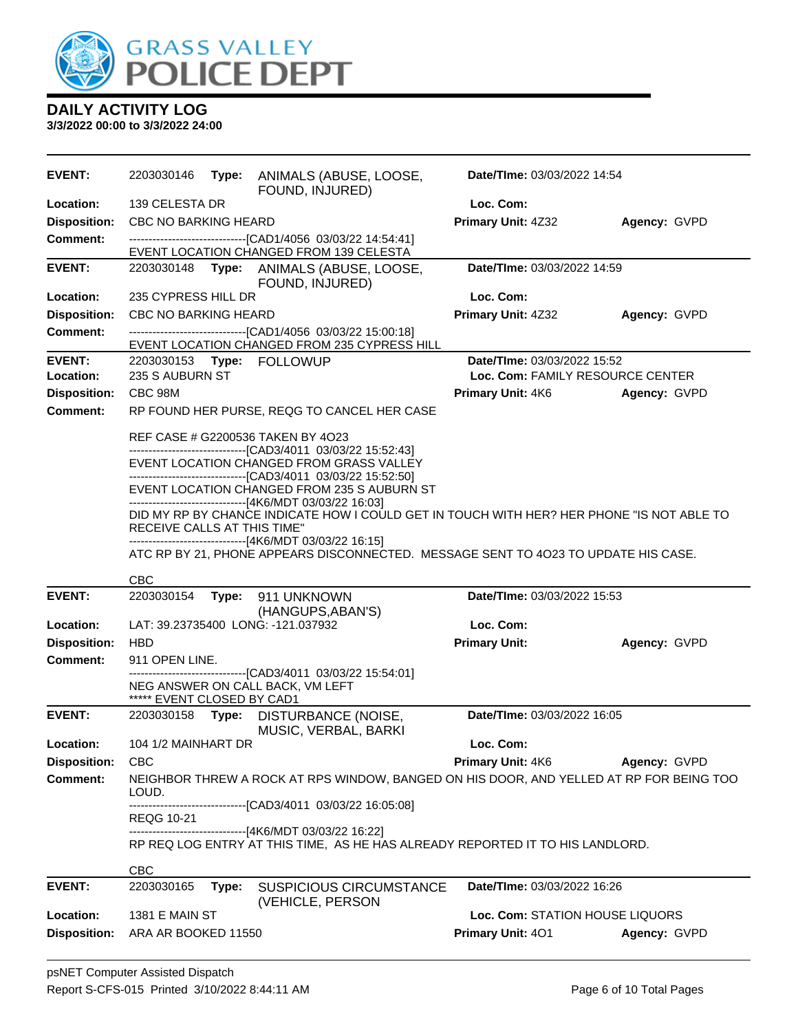

| <b>EVENT:</b>                    | 2203030146                            |       | Type: ANIMALS (ABUSE, LOOSE,<br>FOUND, INJURED)                                                                                                                                                                | Date/TIme: 03/03/2022 14:54                          |                                  |
|----------------------------------|---------------------------------------|-------|----------------------------------------------------------------------------------------------------------------------------------------------------------------------------------------------------------------|------------------------------------------------------|----------------------------------|
| Location:                        | 139 CELESTA DR                        |       |                                                                                                                                                                                                                | Loc. Com:                                            |                                  |
| <b>Disposition:</b>              | <b>CBC NO BARKING HEARD</b>           |       |                                                                                                                                                                                                                | Primary Unit: 4Z32                                   | Agency: GVPD                     |
| <b>Comment:</b>                  |                                       |       | -------------------------------[CAD1/4056 03/03/22 14:54:41]<br>EVENT LOCATION CHANGED FROM 139 CELESTA                                                                                                        |                                                      |                                  |
| <b>EVENT:</b>                    |                                       |       | 2203030148 Type: ANIMALS (ABUSE, LOOSE,<br>FOUND, INJURED)                                                                                                                                                     | Date/TIme: 03/03/2022 14:59                          |                                  |
| <b>Location:</b>                 | 235 CYPRESS HILL DR                   |       |                                                                                                                                                                                                                | Loc. Com:                                            |                                  |
| <b>Disposition:</b>              | <b>CBC NO BARKING HEARD</b>           |       |                                                                                                                                                                                                                | Primary Unit: 4Z32                                   | Agency: GVPD                     |
| <b>Comment:</b>                  |                                       |       | -------------------------------[CAD1/4056_03/03/22_15:00:18]<br>EVENT LOCATION CHANGED FROM 235 CYPRESS HILL                                                                                                   |                                                      |                                  |
| <b>EVENT:</b>                    |                                       |       | 2203030153 Type: FOLLOWUP                                                                                                                                                                                      | Date/TIme: 03/03/2022 15:52                          |                                  |
| Location:                        | 235 S AUBURN ST                       |       |                                                                                                                                                                                                                |                                                      | Loc. Com: FAMILY RESOURCE CENTER |
| <b>Disposition:</b>              | CBC 98M                               |       |                                                                                                                                                                                                                | <b>Primary Unit: 4K6</b>                             | Agency: GVPD                     |
| <b>Comment:</b>                  |                                       |       | RP FOUND HER PURSE, REQG TO CANCEL HER CASE                                                                                                                                                                    |                                                      |                                  |
|                                  |                                       |       | REF CASE # G2200536 TAKEN BY 4O23<br>-------------------------------[CAD3/4011 03/03/22 15:52:43]<br>EVENT LOCATION CHANGED FROM GRASS VALLEY<br>--------------------------------[CAD3/4011_03/03/22_15:52:50] |                                                      |                                  |
|                                  |                                       |       | EVENT LOCATION CHANGED FROM 235 S AUBURN ST                                                                                                                                                                    |                                                      |                                  |
|                                  | RECEIVE CALLS AT THIS TIME"           |       | -------------------------------[4K6/MDT 03/03/22 16:03]<br>DID MY RP BY CHANCE INDICATE HOW I COULD GET IN TOUCH WITH HER? HER PHONE "IS NOT ABLE TO                                                           |                                                      |                                  |
|                                  |                                       |       | --------------------------------[4K6/MDT 03/03/22 16:15]<br>ATC RP BY 21, PHONE APPEARS DISCONNECTED. MESSAGE SENT TO 4023 TO UPDATE HIS CASE.                                                                 |                                                      |                                  |
|                                  |                                       |       |                                                                                                                                                                                                                |                                                      |                                  |
|                                  | CBC                                   |       |                                                                                                                                                                                                                |                                                      |                                  |
| <b>EVENT:</b>                    | 2203030154                            |       | Type: 911 UNKNOWN<br>(HANGUPS, ABAN'S)                                                                                                                                                                         | Date/TIme: 03/03/2022 15:53                          |                                  |
| <b>Location:</b>                 |                                       |       | LAT: 39.23735400 LONG: -121.037932                                                                                                                                                                             | Loc. Com:                                            |                                  |
| <b>Disposition:</b>              | <b>HBD</b>                            |       |                                                                                                                                                                                                                | <b>Primary Unit:</b>                                 | Agency: GVPD                     |
| <b>Comment:</b>                  | 911 OPEN LINE.                        |       |                                                                                                                                                                                                                |                                                      |                                  |
|                                  | ***** EVENT CLOSED BY CAD1            |       | -------------------------------[CAD3/4011 03/03/22 15:54:01]<br>NEG ANSWER ON CALL BACK, VM LEFT                                                                                                               |                                                      |                                  |
| <b>EVENT:</b>                    |                                       |       | 2203030158 Type: DISTURBANCE (NOISE,<br>MUSIC, VERBAL, BARKI                                                                                                                                                   | Date/TIme: 03/03/2022 16:05                          |                                  |
| <b>Location:</b>                 | 104 1/2 MAINHART DR                   |       |                                                                                                                                                                                                                | Loc. Com:                                            |                                  |
| <b>Disposition:</b>              | <b>CBC</b>                            |       |                                                                                                                                                                                                                | <b>Primary Unit: 4K6</b>                             | Agency: GVPD                     |
| <b>Comment:</b>                  | LOUD.                                 |       | NEIGHBOR THREW A ROCK AT RPS WINDOW, BANGED ON HIS DOOR, AND YELLED AT RP FOR BEING TOO                                                                                                                        |                                                      |                                  |
|                                  | REQG 10-21                            |       | -------------------------------[CAD3/4011 03/03/22 16:05:08]                                                                                                                                                   |                                                      |                                  |
|                                  |                                       |       | -------------------------------[4K6/MDT 03/03/22 16:22]<br>RP REQ LOG ENTRY AT THIS TIME, AS HE HAS ALREADY REPORTED IT TO HIS LANDLORD.                                                                       |                                                      |                                  |
|                                  | <b>CBC</b>                            |       |                                                                                                                                                                                                                |                                                      |                                  |
| <b>EVENT:</b>                    | 2203030165                            | Type: | <b>SUSPICIOUS CIRCUMSTANCE</b><br>(VEHICLE, PERSON                                                                                                                                                             | Date/TIme: 03/03/2022 16:26                          |                                  |
| Location:<br><b>Disposition:</b> | 1381 E MAIN ST<br>ARA AR BOOKED 11550 |       |                                                                                                                                                                                                                | Loc. Com: STATION HOUSE LIQUORS<br>Primary Unit: 401 |                                  |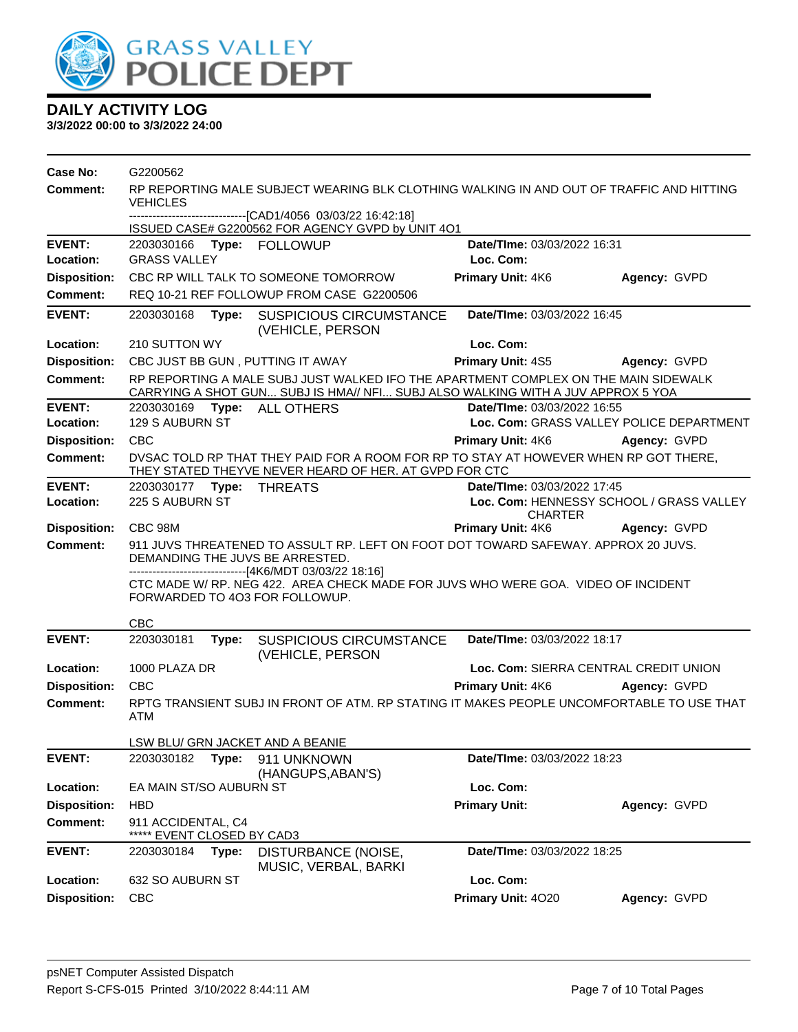

| Case No:            | G2200562                                                                                 |       |                                                                                                                                                                        |                             |                                                       |
|---------------------|------------------------------------------------------------------------------------------|-------|------------------------------------------------------------------------------------------------------------------------------------------------------------------------|-----------------------------|-------------------------------------------------------|
| Comment:            | RP REPORTING MALE SUBJECT WEARING BLK CLOTHING WALKING IN AND OUT OF TRAFFIC AND HITTING |       |                                                                                                                                                                        |                             |                                                       |
|                     | <b>VEHICLES</b>                                                                          |       | ------------------------------[CAD1/4056_03/03/22 16:42:18]                                                                                                            |                             |                                                       |
|                     |                                                                                          |       | ISSUED CASE# G2200562 FOR AGENCY GVPD by UNIT 4O1                                                                                                                      |                             |                                                       |
| <b>EVENT:</b>       | 2203030166                                                                               |       | Type: FOLLOWUP                                                                                                                                                         | Date/TIme: 03/03/2022 16:31 |                                                       |
| Location:           | <b>GRASS VALLEY</b>                                                                      |       |                                                                                                                                                                        | Loc. Com:                   |                                                       |
| <b>Disposition:</b> |                                                                                          |       | CBC RP WILL TALK TO SOMEONE TOMORROW                                                                                                                                   | Primary Unit: 4K6           | Agency: GVPD                                          |
| <b>Comment:</b>     |                                                                                          |       | REQ 10-21 REF FOLLOWUP FROM CASE G2200506                                                                                                                              |                             |                                                       |
| <b>EVENT:</b>       | 2203030168                                                                               | Type: | <b>SUSPICIOUS CIRCUMSTANCE</b><br>(VEHICLE, PERSON                                                                                                                     | Date/TIme: 03/03/2022 16:45 |                                                       |
| Location:           | 210 SUTTON WY                                                                            |       |                                                                                                                                                                        | Loc. Com:                   |                                                       |
| <b>Disposition:</b> |                                                                                          |       | CBC JUST BB GUN, PUTTING IT AWAY                                                                                                                                       | Primary Unit: 4S5           | Agency: GVPD                                          |
| Comment:            |                                                                                          |       | RP REPORTING A MALE SUBJ JUST WALKED IFO THE APARTMENT COMPLEX ON THE MAIN SIDEWALK<br>CARRYING A SHOT GUN SUBJ IS HMA// NFI SUBJ ALSO WALKING WITH A JUV APPROX 5 YOA |                             |                                                       |
| <b>EVENT:</b>       | 2203030169                                                                               |       | Type: ALL OTHERS                                                                                                                                                       | Date/TIme: 03/03/2022 16:55 |                                                       |
| Location:           | <b>129 S AUBURN ST</b>                                                                   |       |                                                                                                                                                                        |                             | Loc. Com: GRASS VALLEY POLICE DEPARTMENT              |
| <b>Disposition:</b> | <b>CBC</b>                                                                               |       |                                                                                                                                                                        | <b>Primary Unit: 4K6</b>    | Agency: GVPD                                          |
| <b>Comment:</b>     |                                                                                          |       | DVSAC TOLD RP THAT THEY PAID FOR A ROOM FOR RP TO STAY AT HOWEVER WHEN RP GOT THERE,<br>THEY STATED THEYVE NEVER HEARD OF HER. AT GVPD FOR CTC                         |                             |                                                       |
| <b>EVENT:</b>       |                                                                                          |       |                                                                                                                                                                        | Date/TIme: 03/03/2022 17:45 |                                                       |
| Location:           | 225 S AUBURN ST                                                                          |       |                                                                                                                                                                        | <b>CHARTER</b>              | Loc. Com: HENNESSY SCHOOL / GRASS VALLEY              |
| <b>Disposition:</b> | CBC 98M                                                                                  |       |                                                                                                                                                                        | <b>Primary Unit: 4K6</b>    | Agency: GVPD                                          |
| Comment:            |                                                                                          |       | 911 JUVS THREATENED TO ASSULT RP. LEFT ON FOOT DOT TOWARD SAFEWAY. APPROX 20 JUVS.                                                                                     |                             |                                                       |
|                     |                                                                                          |       | DEMANDING THE JUVS BE ARRESTED.                                                                                                                                        |                             |                                                       |
|                     |                                                                                          |       |                                                                                                                                                                        |                             |                                                       |
|                     |                                                                                          |       | -------------------------------[4K6/MDT 03/03/22 18:16]                                                                                                                |                             |                                                       |
|                     |                                                                                          |       | CTC MADE W/ RP. NEG 422. AREA CHECK MADE FOR JUVS WHO WERE GOA. VIDEO OF INCIDENT<br>FORWARDED TO 403 FOR FOLLOWUP.                                                    |                             |                                                       |
|                     |                                                                                          |       |                                                                                                                                                                        |                             |                                                       |
| <b>EVENT:</b>       | <b>CBC</b><br>2203030181                                                                 | Type: | <b>SUSPICIOUS CIRCUMSTANCE</b>                                                                                                                                         | Date/TIme: 03/03/2022 18:17 |                                                       |
| Location:           | 1000 PLAZA DR                                                                            |       | (VEHICLE, PERSON                                                                                                                                                       |                             |                                                       |
| <b>Disposition:</b> | <b>CBC</b>                                                                               |       |                                                                                                                                                                        | Primary Unit: 4K6           | Loc. Com: SIERRA CENTRAL CREDIT UNION<br>Agency: GVPD |
| <b>Comment:</b>     | ATM                                                                                      |       | RPTG TRANSIENT SUBJ IN FRONT OF ATM. RP STATING IT MAKES PEOPLE UNCOMFORTABLE TO USE THAT                                                                              |                             |                                                       |
|                     |                                                                                          |       |                                                                                                                                                                        |                             |                                                       |
|                     |                                                                                          |       | LSW BLU/ GRN JACKET AND A BEANIE                                                                                                                                       | Date/TIme: 03/03/2022 18:23 |                                                       |
| <b>EVENT:</b>       | 2203030182                                                                               | Type: | 911 UNKNOWN<br>(HANGUPS, ABAN'S)                                                                                                                                       |                             |                                                       |
| Location:           | EA MAIN ST/SO AUBURN ST                                                                  |       |                                                                                                                                                                        | Loc. Com:                   |                                                       |
| <b>Disposition:</b> | <b>HBD</b>                                                                               |       |                                                                                                                                                                        | <b>Primary Unit:</b>        | Agency: GVPD                                          |
| <b>Comment:</b>     | 911 ACCIDENTAL, C4<br>EVENT CLOSED BY CAD3                                               |       |                                                                                                                                                                        |                             |                                                       |
| <b>EVENT:</b>       | 2203030184                                                                               | Type: | DISTURBANCE (NOISE,<br>MUSIC, VERBAL, BARKI                                                                                                                            | Date/TIme: 03/03/2022 18:25 |                                                       |
| Location:           | 632 SO AUBURN ST                                                                         |       |                                                                                                                                                                        | Loc. Com:                   |                                                       |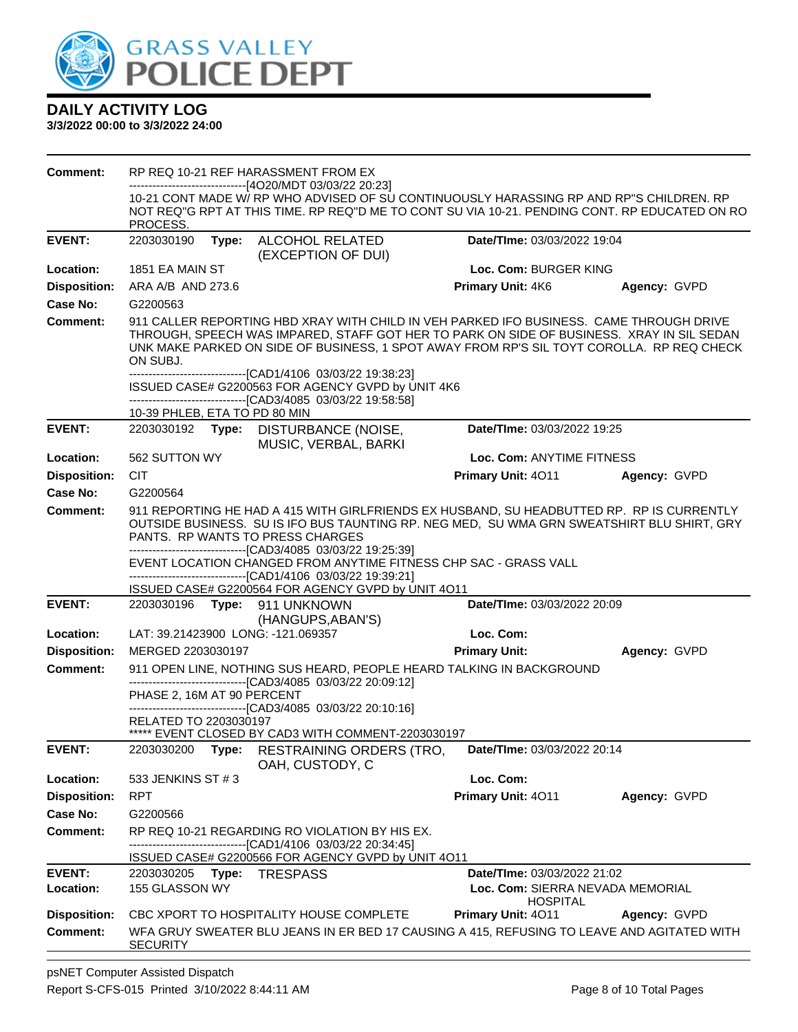

| <b>Comment:</b>     | RP REQ 10-21 REF HARASSMENT FROM EX                                                                                                                                                                                                                                                                                                                           |                                                     |              |
|---------------------|---------------------------------------------------------------------------------------------------------------------------------------------------------------------------------------------------------------------------------------------------------------------------------------------------------------------------------------------------------------|-----------------------------------------------------|--------------|
|                     | ------------------------------[4O20/MDT 03/03/22 20:23]<br>10-21 CONT MADE W/ RP WHO ADVISED OF SU CONTINUOUSLY HARASSING RP AND RP"S CHILDREN. RP<br>NOT REQ"G RPT AT THIS TIME. RP REQ"D ME TO CONT SU VIA 10-21. PENDING CONT. RP EDUCATED ON RO<br>PROCESS.                                                                                               |                                                     |              |
| <b>EVENT:</b>       | 2203030190<br>Type: ALCOHOL RELATED<br>(EXCEPTION OF DUI)                                                                                                                                                                                                                                                                                                     | Date/TIme: 03/03/2022 19:04                         |              |
| Location:           | 1851 EA MAIN ST                                                                                                                                                                                                                                                                                                                                               | Loc. Com: BURGER KING                               |              |
| <b>Disposition:</b> | ARA A/B AND 273.6                                                                                                                                                                                                                                                                                                                                             | Primary Unit: 4K6                                   | Agency: GVPD |
| <b>Case No:</b>     | G2200563                                                                                                                                                                                                                                                                                                                                                      |                                                     |              |
| <b>Comment:</b>     | 911 CALLER REPORTING HBD XRAY WITH CHILD IN VEH PARKED IFO BUSINESS. CAME THROUGH DRIVE<br>THROUGH, SPEECH WAS IMPARED, STAFF GOT HER TO PARK ON SIDE OF BUSINESS. XRAY IN SIL SEDAN<br>UNK MAKE PARKED ON SIDE OF BUSINESS, 1 SPOT AWAY FROM RP'S SIL TOYT COROLLA. RP REQ CHECK<br>ON SUBJ.<br>-------------------------------[CAD1/4106 03/03/22 19:38:23] |                                                     |              |
|                     | ISSUED CASE# G2200563 FOR AGENCY GVPD by UNIT 4K6<br>-------------------------------[CAD3/4085 03/03/22 19:58:58]<br>10-39 PHLEB, ETA TO PD 80 MIN                                                                                                                                                                                                            |                                                     |              |
| <b>EVENT:</b>       | 2203030192 Type: DISTURBANCE (NOISE,<br>MUSIC, VERBAL, BARKI                                                                                                                                                                                                                                                                                                  | Date/TIme: 03/03/2022 19:25                         |              |
| Location:           | 562 SUTTON WY                                                                                                                                                                                                                                                                                                                                                 | Loc. Com: ANYTIME FITNESS                           |              |
| <b>Disposition:</b> | <b>CIT</b>                                                                                                                                                                                                                                                                                                                                                    | <b>Primary Unit: 4011</b>                           | Agency: GVPD |
| <b>Case No:</b>     | G2200564                                                                                                                                                                                                                                                                                                                                                      |                                                     |              |
| Comment:            | 911 REPORTING HE HAD A 415 WITH GIRLFRIENDS EX HUSBAND, SU HEADBUTTED RP. RP IS CURRENTLY<br>OUTSIDE BUSINESS. SU IS IFO BUS TAUNTING RP. NEG MED, SU WMA GRN SWEATSHIRT BLU SHIRT, GRY<br>PANTS. RP WANTS TO PRESS CHARGES<br>--------------------------------[CAD3/4085 03/03/22 19:25:39]                                                                  |                                                     |              |
|                     | EVENT LOCATION CHANGED FROM ANYTIME FITNESS CHP SAC - GRASS VALL<br>-------------------------------[CAD1/4106 03/03/22 19:39:21]                                                                                                                                                                                                                              |                                                     |              |
| <b>EVENT:</b>       | ISSUED CASE# G2200564 FOR AGENCY GVPD by UNIT 4O11<br>2203030196    Type: 911    UNKNOWN                                                                                                                                                                                                                                                                      | Date/TIme: 03/03/2022 20:09                         |              |
|                     | (HANGUPS, ABAN'S)                                                                                                                                                                                                                                                                                                                                             |                                                     |              |
| Location:           | LAT: 39.21423900 LONG: -121.069357                                                                                                                                                                                                                                                                                                                            | Loc. Com:                                           |              |
| <b>Disposition:</b> | MERGED 2203030197                                                                                                                                                                                                                                                                                                                                             | <b>Primary Unit:</b>                                | Agency: GVPD |
| <b>Comment:</b>     | 911 OPEN LINE, NOTHING SUS HEARD, PEOPLE HEARD TALKING IN BACKGROUND                                                                                                                                                                                                                                                                                          |                                                     |              |
|                     | -------------------------------[CAD3/4085 03/03/22 20:09:12]<br>PHASE 2, 16M AT 90 PERCENT                                                                                                                                                                                                                                                                    |                                                     |              |
|                     | ------------------------------[CAD3/4085 03/03/22 20:10:16]                                                                                                                                                                                                                                                                                                   |                                                     |              |
|                     | RELATED TO 2203030197<br>***** EVENT CLOSED BY CAD3 WITH COMMENT-2203030197                                                                                                                                                                                                                                                                                   |                                                     |              |
| <b>EVENT:</b>       | 2203030200 Type: RESTRAINING ORDERS (TRO, Date/Time: 03/03/2022 20:14<br>OAH, CUSTODY, C                                                                                                                                                                                                                                                                      |                                                     |              |
| Location:           | 533 JENKINS ST # 3                                                                                                                                                                                                                                                                                                                                            | Loc. Com:                                           |              |
| <b>Disposition:</b> | <b>RPT</b>                                                                                                                                                                                                                                                                                                                                                    | Primary Unit: 4011                                  | Agency: GVPD |
| <b>Case No:</b>     | G2200566                                                                                                                                                                                                                                                                                                                                                      |                                                     |              |
| Comment:            | RP REQ 10-21 REGARDING RO VIOLATION BY HIS EX.                                                                                                                                                                                                                                                                                                                |                                                     |              |
|                     | -------------------------------[CAD1/4106 03/03/22 20:34:45]<br>ISSUED CASE# G2200566 FOR AGENCY GVPD by UNIT 4O11                                                                                                                                                                                                                                            |                                                     |              |
| <b>EVENT:</b>       | 2203030205    Type: TRESPASS                                                                                                                                                                                                                                                                                                                                  | Date/TIme: 03/03/2022 21:02                         |              |
| Location:           | 155 GLASSON WY                                                                                                                                                                                                                                                                                                                                                | Loc. Com: SIERRA NEVADA MEMORIAL<br><b>HOSPITAL</b> |              |
| <b>Disposition:</b> | CBC XPORT TO HOSPITALITY HOUSE COMPLETE                                                                                                                                                                                                                                                                                                                       | Primary Unit: 4011                                  | Agency: GVPD |
| <b>Comment:</b>     | WFA GRUY SWEATER BLU JEANS IN ER BED 17 CAUSING A 415, REFUSING TO LEAVE AND AGITATED WITH<br><b>SECURITY</b>                                                                                                                                                                                                                                                 |                                                     |              |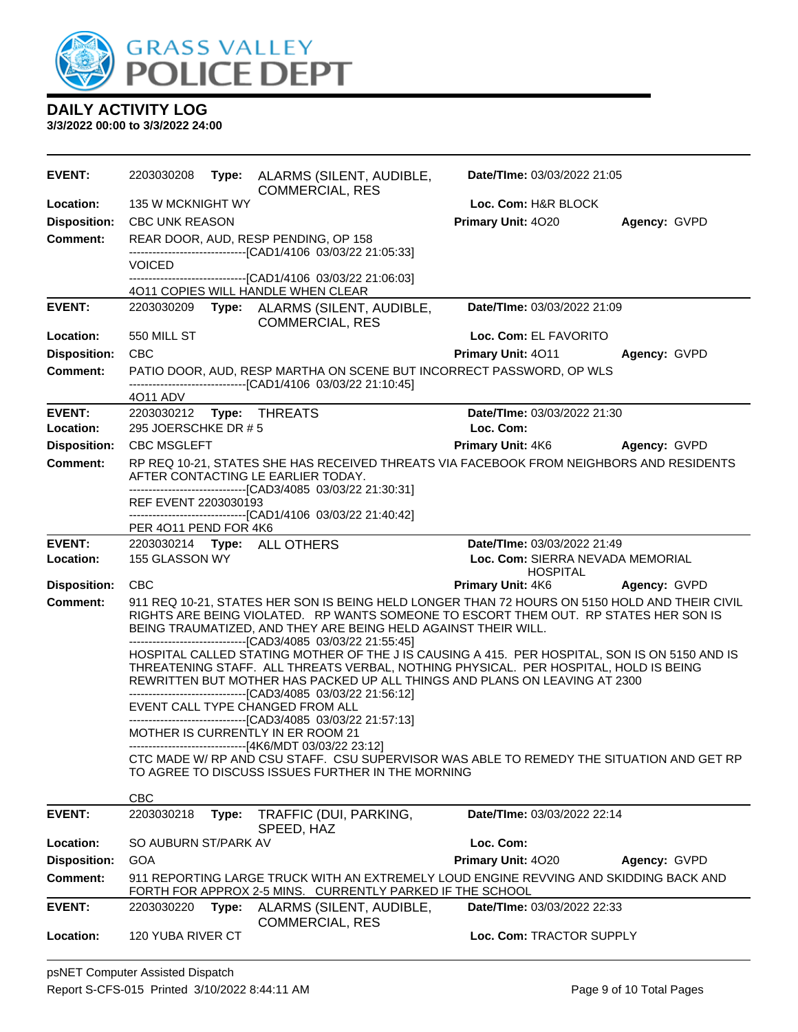

| <b>EVENT:</b>       | 2203030208                           | Type: ALARMS (SILENT, AUDIBLE,<br><b>COMMERCIAL, RES</b>                                                                                                                                                        | Date/TIme: 03/03/2022 21:05                                                                                                                                                                                                                                         |              |
|---------------------|--------------------------------------|-----------------------------------------------------------------------------------------------------------------------------------------------------------------------------------------------------------------|---------------------------------------------------------------------------------------------------------------------------------------------------------------------------------------------------------------------------------------------------------------------|--------------|
| Location:           | 135 W MCKNIGHT WY                    |                                                                                                                                                                                                                 | Loc. Com: H&R BLOCK                                                                                                                                                                                                                                                 |              |
| <b>Disposition:</b> | <b>CBC UNK REASON</b>                |                                                                                                                                                                                                                 | Primary Unit: 4020                                                                                                                                                                                                                                                  | Agency: GVPD |
| Comment:            |                                      | REAR DOOR, AUD, RESP PENDING, OP 158<br>----------------------------------[CAD1/4106 03/03/22 21:05:33]                                                                                                         |                                                                                                                                                                                                                                                                     |              |
|                     | <b>VOICED</b>                        |                                                                                                                                                                                                                 |                                                                                                                                                                                                                                                                     |              |
|                     |                                      | ------------------------------[CAD1/4106 03/03/22 21:06:03]<br>4011 COPIES WILL HANDLE WHEN CLEAR                                                                                                               |                                                                                                                                                                                                                                                                     |              |
| <b>EVENT:</b>       |                                      | 2203030209 Type: ALARMS (SILENT, AUDIBLE,<br><b>COMMERCIAL, RES</b>                                                                                                                                             | Date/TIme: 03/03/2022 21:09                                                                                                                                                                                                                                         |              |
| Location:           | 550 MILL ST                          |                                                                                                                                                                                                                 | Loc. Com: EL FAVORITO                                                                                                                                                                                                                                               |              |
| <b>Disposition:</b> | <b>CBC</b>                           |                                                                                                                                                                                                                 | Primary Unit: 4011                                                                                                                                                                                                                                                  | Agency: GVPD |
| <b>Comment:</b>     |                                      | -------------------------------[CAD1/4106 03/03/22 21:10:45]                                                                                                                                                    | PATIO DOOR, AUD, RESP MARTHA ON SCENE BUT INCORRECT PASSWORD, OP WLS                                                                                                                                                                                                |              |
| <b>EVENT:</b>       | 4011 ADV<br>2203030212 Type: THREATS |                                                                                                                                                                                                                 | Date/TIme: 03/03/2022 21:30                                                                                                                                                                                                                                         |              |
| Location:           | 295 JOERSCHKE DR #5                  |                                                                                                                                                                                                                 | Loc. Com:                                                                                                                                                                                                                                                           |              |
| <b>Disposition:</b> | <b>CBC MSGLEFT</b>                   |                                                                                                                                                                                                                 | <b>Primary Unit: 4K6</b>                                                                                                                                                                                                                                            | Agency: GVPD |
| <b>Comment:</b>     |                                      | AFTER CONTACTING LE EARLIER TODAY.                                                                                                                                                                              | RP REQ 10-21, STATES SHE HAS RECEIVED THREATS VIA FACEBOOK FROM NEIGHBORS AND RESIDENTS                                                                                                                                                                             |              |
|                     |                                      | --------------------------------[CAD3/4085 03/03/22 21:30:31]                                                                                                                                                   |                                                                                                                                                                                                                                                                     |              |
|                     | REF EVENT 2203030193                 | -------------------------------[CAD1/4106 03/03/22 21:40:42]                                                                                                                                                    |                                                                                                                                                                                                                                                                     |              |
|                     | PER 4011 PEND FOR 4K6                |                                                                                                                                                                                                                 |                                                                                                                                                                                                                                                                     |              |
| <b>EVENT:</b>       |                                      | 2203030214 Type: ALL OTHERS                                                                                                                                                                                     | Date/TIme: 03/03/2022 21:49                                                                                                                                                                                                                                         |              |
| Location:           | 155 GLASSON WY                       |                                                                                                                                                                                                                 | Loc. Com: SIERRA NEVADA MEMORIAL<br><b>HOSPITAL</b>                                                                                                                                                                                                                 |              |
| <b>Disposition:</b> | <b>CBC</b>                           |                                                                                                                                                                                                                 | Primary Unit: 4K6                                                                                                                                                                                                                                                   | Agency: GVPD |
| Comment:            |                                      | BEING TRAUMATIZED, AND THEY ARE BEING HELD AGAINST THEIR WILL.                                                                                                                                                  | 911 REQ 10-21, STATES HER SON IS BEING HELD LONGER THAN 72 HOURS ON 5150 HOLD AND THEIR CIVIL<br>RIGHTS ARE BEING VIOLATED. RP WANTS SOMEONE TO ESCORT THEM OUT. RP STATES HER SON IS                                                                               |              |
|                     |                                      | --------------------------------[CAD3/4085 03/03/22 21:55:45]<br>---------------------------------[CAD3/4085 03/03/22 21:56:12]<br>EVENT CALL TYPE CHANGED FROM ALL                                             | HOSPITAL CALLED STATING MOTHER OF THE J IS CAUSING A 415. PER HOSPITAL, SON IS ON 5150 AND IS<br>THREATENING STAFF. ALL THREATS VERBAL, NOTHING PHYSICAL. PER HOSPITAL, HOLD IS BEING<br>REWRITTEN BUT MOTHER HAS PACKED UP ALL THINGS AND PLANS ON LEAVING AT 2300 |              |
|                     |                                      | --------------------------------[CAD3/4085 03/03/22 21:57:13]<br>MOTHER IS CURRENTLY IN ER ROOM 21<br>----------------------------[4K6/MDT 03/03/22 23:12]<br>TO AGREE TO DISCUSS ISSUES FURTHER IN THE MORNING | CTC MADE W/ RP AND CSU STAFF. CSU SUPERVISOR WAS ABLE TO REMEDY THE SITUATION AND GET RP                                                                                                                                                                            |              |
|                     | <b>CBC</b>                           |                                                                                                                                                                                                                 |                                                                                                                                                                                                                                                                     |              |
| <b>EVENT:</b>       | 2203030218<br>Type:                  | TRAFFIC (DUI, PARKING,<br>SPEED, HAZ                                                                                                                                                                            | Date/TIme: 03/03/2022 22:14                                                                                                                                                                                                                                         |              |
| Location:           | SO AUBURN ST/PARK AV                 |                                                                                                                                                                                                                 | Loc. Com:                                                                                                                                                                                                                                                           |              |
| <b>Disposition:</b> | <b>GOA</b>                           |                                                                                                                                                                                                                 | Primary Unit: 4020                                                                                                                                                                                                                                                  | Agency: GVPD |
| <b>Comment:</b>     |                                      | FORTH FOR APPROX 2-5 MINS. CURRENTLY PARKED IF THE SCHOOL                                                                                                                                                       | 911 REPORTING LARGE TRUCK WITH AN EXTREMELY LOUD ENGINE REVVING AND SKIDDING BACK AND                                                                                                                                                                               |              |
| <b>EVENT:</b>       | 2203030220<br>Type:                  | ALARMS (SILENT, AUDIBLE,                                                                                                                                                                                        | Date/TIme: 03/03/2022 22:33                                                                                                                                                                                                                                         |              |
| Location:           | 120 YUBA RIVER CT                    | <b>COMMERCIAL, RES</b>                                                                                                                                                                                          | Loc. Com: TRACTOR SUPPLY                                                                                                                                                                                                                                            |              |